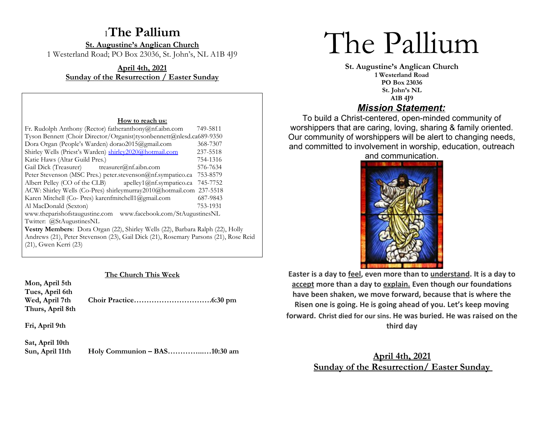# <sup>1</sup>**The Pallium**

**St. Augustine's Anglican Church** 1 Westerland Road; PO Box 23036, St. John's, NL A1B 4J9

**April 4th, 2021 Sunday of the Resurrection / Easter Sunday**

#### **How to reach us:**

| Fr. Rudolph Anthony (Rector) fatheranthony@nf.aibn.com                               | 749-5811 |  |
|--------------------------------------------------------------------------------------|----------|--|
| Tyson Bennett (Choir Director/Organist)tysonbennett@nlesd.ca689-9350                 |          |  |
| Dora Organ (People's Warden) dorao2015@gmail.com                                     | 368-7307 |  |
| Shirley Wells (Priest's Warden) shirley2020@hotmail.com                              | 237-5518 |  |
| Katie Haws (Altar Guild Pres.)                                                       | 754-1316 |  |
| Gail Dick (Treasurer) treasurer@nf.aibn.com                                          | 576-7634 |  |
| Peter Stevenson (MSC Pres.) peter.stevenson@nf.sympatico.ca                          | 753-8579 |  |
| Albert Pelley (CO of the CLB) apelley1@nf.sympatico.ca                               | 745-7752 |  |
| ACW: Shirley Wells (Co-Pres) shirleymurray2010@hotmail.com 237-5518                  |          |  |
| Karen Mitchell (Co- Pres) karenfmitchell1@gmail.com                                  | 687-9843 |  |
| Al MacDonald (Sexton)                                                                | 753-1931 |  |
| www.theparishofstaugustine.com www.facebook.com/StAugustinesNL                       |          |  |
| Twitter: @StAugustinesNL                                                             |          |  |
| Vestry Members: Dora Organ (22), Shirley Wells (22), Barbara Ralph (22), Holly       |          |  |
| Andrews (21), Peter Stevenson (23), Gail Dick (21), Rosemary Parsons (21), Rose Reid |          |  |
|                                                                                      |          |  |

(21), Gwen Kerri (23)

### **The Church This Week**

| Mon, April 5th<br>Tues, April 6th<br>Wed, April 7th<br>Thurs, April 8th |  |
|-------------------------------------------------------------------------|--|
| Fri, April 9th                                                          |  |
| Sat, April 10th                                                         |  |

**Sun, April 11th Holy Communion – BAS…………...…10:30 am**

# The Pallium

**St. Augustine's Anglican Church 1 Westerland Road PO Box 23036 St. John's NL A1B 4J9** *Mission Statement:*

To build a Christ-centered, open-minded community of worshippers that are caring, loving, sharing & family oriented. Our community of worshippers will be alert to changing needs, and committed to involvement in worship, education, outreach and communication.



**Easter is a day to feel, even more than to understand. It is a day to accept more than a day to explain. Even though our foundations have been shaken, we move forward, because that is where the Risen one is going. He is going ahead of you. Let's keep moving forward. Christ died for our sins. He was buried. He was raised on the third day**

> **April 4th, 2021 Sunday of the Resurrection/ Easter Sunday**